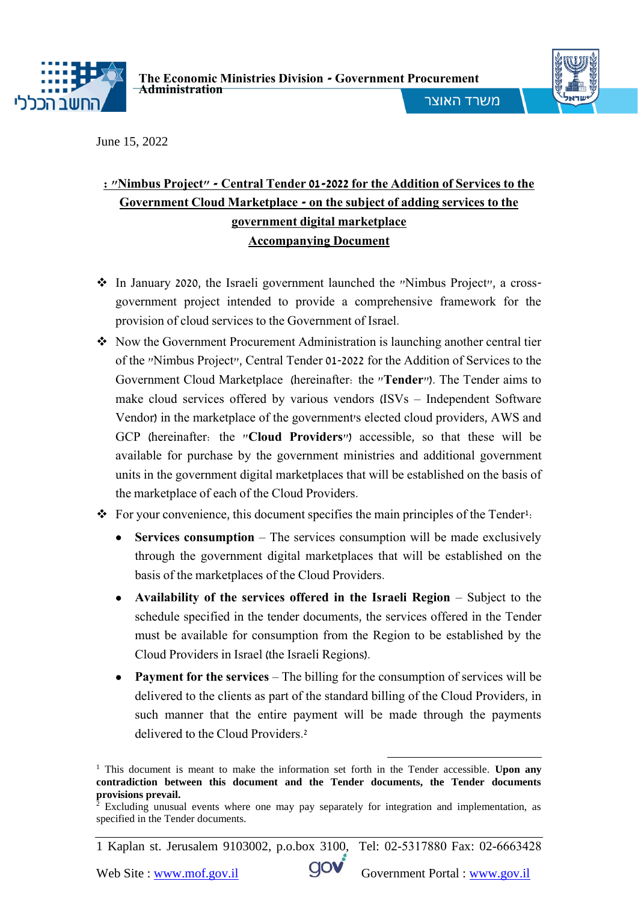

**The Economic Ministries Division - Government Procurement Administration**



i

משרד האוצר

June 15, 2022

## **: "Nimbus Project" - Central Tender 01-2022 for the Addition of Services to the Government Cloud Marketplace - on the subject of adding services to the government digital marketplace Accompanying Document**

- In January 2020, the Israeli government launched the "Nimbus Project", a crossgovernment project intended to provide a comprehensive framework for the provision of cloud services to the Government of Israel.
- Now the Government Procurement Administration is launching another central tier of the "Nimbus Project", Central Tender 01-2022 for the Addition of Services to the Government Cloud Marketplace (hereinafter: the "**Tender**"). The Tender aims to make cloud services offered by various vendors (ISVs – Independent Software Vendor) in the marketplace of the government's elected cloud providers, AWS and GCP (hereinafter: the "**Cloud Providers**") accessible, so that these will be available for purchase by the government ministries and additional government units in the government digital marketplaces that will be established on the basis of the marketplace of each of the Cloud Providers.
- $\bullet$  For your convenience, this document specifies the main principles of the Tender<sup>1</sup>:
	- **Services consumption** The services consumption will be made exclusively through the government digital marketplaces that will be established on the basis of the marketplaces of the Cloud Providers.
	- **Availability of the services offered in the Israeli Region** Subject to the schedule specified in the tender documents, the services offered in the Tender must be available for consumption from the Region to be established by the Cloud Providers in Israel (the Israeli Regions).
	- **Payment for the services** The billing for the consumption of services will be delivered to the clients as part of the standard billing of the Cloud Providers, in such manner that the entire payment will be made through the payments delivered to the Cloud Providers.<sup>2</sup>

1 Kaplan st. Jerusalem 9103002, p.o.box 3100, Tel: 02-5317880 Fax: 02-6663428

<sup>1</sup> <sup>1</sup> This document is meant to make the information set forth in the Tender accessible. **Upon any contradiction between this document and the Tender documents, the Tender documents provisions prevail.**

<sup>&</sup>lt;sup>2</sup> Excluding unusual events where one may pay separately for integration and implementation, as specified in the Tender documents.